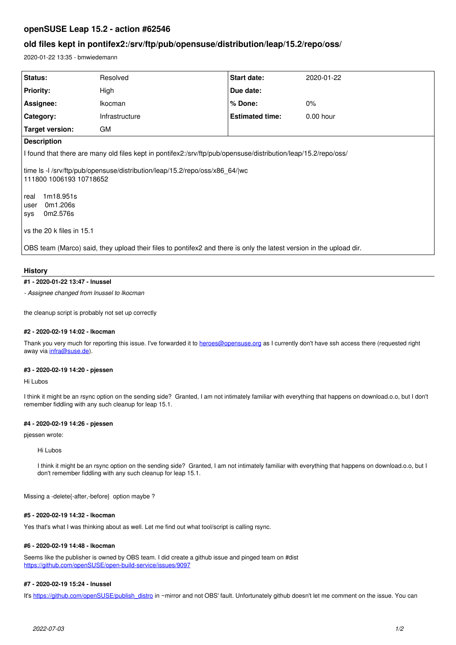# **openSUSE Leap 15.2 - action #62546**

# **old files kept in pontifex2:/srv/ftp/pub/opensuse/distribution/leap/15.2/repo/oss/**

2020-01-22 13:35 - bmwiedemann

| Status:                                                                                                                     | Resolved       | Start date:            | 2020-01-22  |
|-----------------------------------------------------------------------------------------------------------------------------|----------------|------------------------|-------------|
| <b>Priority:</b>                                                                                                            | High           | Due date:              |             |
| Assignee:                                                                                                                   | Ikocman        | % Done:                | $0\%$       |
| Category:                                                                                                                   | Infrastructure | <b>Estimated time:</b> | $0.00$ hour |
| Target version:                                                                                                             | <b>GM</b>      |                        |             |
| <b>Description</b>                                                                                                          |                |                        |             |
| I found that there are many old files kept in pontifex2:/srv/ftp/pub/opensuse/distribution/leap/15.2/repo/oss/              |                |                        |             |
| time Is -I /srv/ftp/pub/opensuse/distribution/leap/15.2/repo/oss/x86_64/ wc<br>111800 1006193 10718652<br>1m18.951s<br>real |                |                        |             |
| 0m1.206s<br>user                                                                                                            |                |                        |             |
| 0m2.576s<br>sys                                                                                                             |                |                        |             |
| vs the 20 k files in 15.1                                                                                                   |                |                        |             |
| OBS team (Marco) said, they upload their files to pontifex2 and there is only the latest version in the upload dir.         |                |                        |             |
|                                                                                                                             |                |                        |             |

## **History**

#### **#1 - 2020-01-22 13:47 - lnussel**

*- Assignee changed from lnussel to lkocman*

the cleanup script is probably not set up correctly

## **#2 - 2020-02-19 14:02 - lkocman**

Thank you very much for reporting this issue. I've forwarded it to [heroes@opensuse.org](mailto:heroes@opensuse.org) as I currently don't have ssh access there (requested right away via [infra@suse.de](mailto:infra@suse.de)).

#### **#3 - 2020-02-19 14:20 - pjessen**

Hi Lubos

I think it might be an rsync option on the sending side? Granted, I am not intimately familiar with everything that happens on download.o.o, but I don't remember fiddling with any such cleanup for leap 15.1.

## **#4 - 2020-02-19 14:26 - pjessen**

pjessen wrote:

#### Hi Lubos

I think it might be an rsync option on the sending side? Granted, I am not intimately familiar with everything that happens on download.o.o, but I don't remember fiddling with any such cleanup for leap 15.1.

Missing a -delete{-after,-before} option maybe ?

### **#5 - 2020-02-19 14:32 - lkocman**

Yes that's what I was thinking about as well. Let me find out what tool/script is calling rsync.

#### **#6 - 2020-02-19 14:48 - lkocman**

Seems like the publisher is owned by OBS team. I did create a github issue and pinged team on #dist <https://github.com/openSUSE/open-build-service/issues/9097>

### **#7 - 2020-02-19 15:24 - lnussel**

It's [https://github.com/openSUSE/publish\\_distro](https://github.com/openSUSE/publish_distro) in ~mirror and not OBS' fault. Unfortunately github doesn't let me comment on the issue. You can